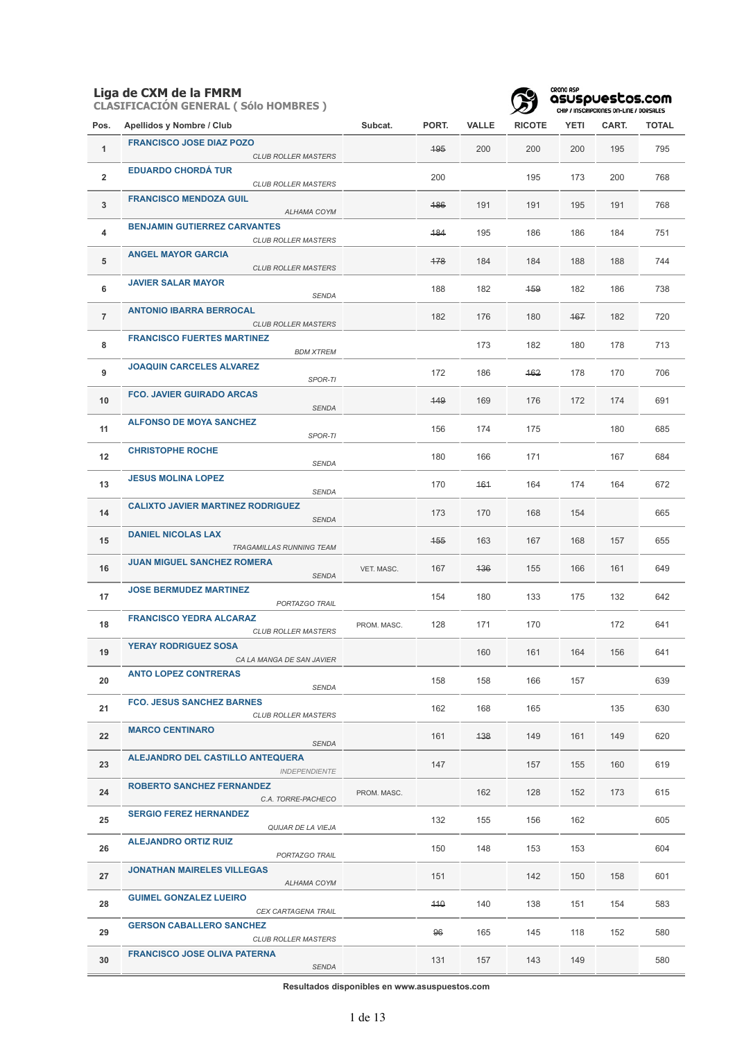**CLASIFICACIÓN GENERAL ( Sólo HOMBRES )**



#### **GRONO ASP**<br>QSUSpuestos.com  $CUBIIBC$ **SEC ON-LINE / BOOCNLECT**

| Pos.           | Apellidos y Nombre / Club                                         | Subcat.     | PORT. | <b>VALLE</b> | <b>RICOTE</b> | <b>YETI</b> | CART. | <b>TOTAL</b> |
|----------------|-------------------------------------------------------------------|-------------|-------|--------------|---------------|-------------|-------|--------------|
| 1              | <b>FRANCISCO JOSE DIAZ POZO</b><br><b>CLUB ROLLER MASTERS</b>     |             | 495   | 200          | 200           | 200         | 195   | 795          |
| $\overline{2}$ | <b>EDUARDO CHORDÁ TUR</b><br><b>CLUB ROLLER MASTERS</b>           |             | 200   |              | 195           | 173         | 200   | 768          |
| 3              | <b>FRANCISCO MENDOZA GUIL</b><br>ALHAMA COYM                      |             | 486   | 191          | 191           | 195         | 191   | 768          |
| 4              | <b>BENJAMIN GUTIERREZ CARVANTES</b><br><b>CLUB ROLLER MASTERS</b> |             | 484   | 195          | 186           | 186         | 184   | 751          |
| 5              | <b>ANGEL MAYOR GARCIA</b><br><b>CLUB ROLLER MASTERS</b>           |             | 478   | 184          | 184           | 188         | 188   | 744          |
| 6              | <b>JAVIER SALAR MAYOR</b><br><b>SENDA</b>                         |             | 188   | 182          | 459           | 182         | 186   | 738          |
| $\overline{7}$ | <b>ANTONIO IBARRA BERROCAL</b><br><b>CLUB ROLLER MASTERS</b>      |             | 182   | 176          | 180           | 467         | 182   | 720          |
| 8              | <b>FRANCISCO FUERTES MARTINEZ</b><br><b>BDM XTREM</b>             |             |       | 173          | 182           | 180         | 178   | 713          |
| 9              | <b>JOAQUIN CARCELES ALVAREZ</b><br>SPOR-TI                        |             | 172   | 186          | 162           | 178         | 170   | 706          |
| 10             | <b>FCO. JAVIER GUIRADO ARCAS</b><br><b>SENDA</b>                  |             | 449   | 169          | 176           | 172         | 174   | 691          |
| 11             | <b>ALFONSO DE MOYA SANCHEZ</b><br>SPOR-TI                         |             | 156   | 174          | 175           |             | 180   | 685          |
| 12             | <b>CHRISTOPHE ROCHE</b><br><b>SENDA</b>                           |             | 180   | 166          | 171           |             | 167   | 684          |
| 13             | <b>JESUS MOLINA LOPEZ</b><br>SENDA                                |             | 170   | 464          | 164           | 174         | 164   | 672          |
| 14             | <b>CALIXTO JAVIER MARTINEZ RODRIGUEZ</b><br><b>SENDA</b>          |             | 173   | 170          | 168           | 154         |       | 665          |
| 15             | <b>DANIEL NICOLAS LAX</b><br>TRAGAMILLAS RUNNING TEAM             |             | 455   | 163          | 167           | 168         | 157   | 655          |
| 16             | <b>JUAN MIGUEL SANCHEZ ROMERA</b><br><b>SENDA</b>                 | VET. MASC.  | 167   | 436          | 155           | 166         | 161   | 649          |
| 17             | <b>JOSE BERMUDEZ MARTINEZ</b><br>PORTAZGO TRAIL                   |             | 154   | 180          | 133           | 175         | 132   | 642          |
| 18             | <b>FRANCISCO YEDRA ALCARAZ</b><br><b>CLUB ROLLER MASTERS</b>      | PROM. MASC. | 128   | 171          | 170           |             | 172   | 641          |
| 19             | <b>YERAY RODRIGUEZ SOSA</b><br>CA LA MANGA DE SAN JAVIER          |             |       | 160          | 161           | 164         | 156   | 641          |
| 20             | <b>ANTO LOPEZ CONTRERAS</b><br><b>SENDA</b>                       |             | 158   | 158          | 166           | 157         |       | 639          |
| 21             | <b>FCO. JESUS SANCHEZ BARNES</b><br><b>CLUB ROLLER MASTERS</b>    |             | 162   | 168          | 165           |             | 135   | 630          |
| 22             | <b>MARCO CENTINARO</b><br>SENDA                                   |             | 161   | 138          | 149           | 161         | 149   | 620          |
| 23             | ALEJANDRO DEL CASTILLO ANTEQUERA<br><b>INDEPENDIENTE</b>          |             | 147   |              | 157           | 155         | 160   | 619          |
| 24             | <b>ROBERTO SANCHEZ FERNANDEZ</b><br>C.A. TORRE-PACHECO            | PROM. MASC. |       | 162          | 128           | 152         | 173   | 615          |
| 25             | <b>SERGIO FEREZ HERNANDEZ</b><br>QUIJAR DE LA VIEJA               |             | 132   | 155          | 156           | 162         |       | 605          |
| 26             | <b>ALEJANDRO ORTIZ RUIZ</b><br>PORTAZGO TRAIL                     |             | 150   | 148          | 153           | 153         |       | 604          |
| 27             | <b>JONATHAN MAIRELES VILLEGAS</b><br>ALHAMA COYM                  |             | 151   |              | 142           | 150         | 158   | 601          |
| 28             | <b>GUIMEL GONZALEZ LUEIRO</b><br>CEX CARTAGENA TRAIL              |             | 440   | 140          | 138           | 151         | 154   | 583          |
| 29             | <b>GERSON CABALLERO SANCHEZ</b><br><b>CLUB ROLLER MASTERS</b>     |             | 96    | 165          | 145           | 118         | 152   | 580          |
| 30             | <b>FRANCISCO JOSE OLIVA PATERNA</b><br>SENDA                      |             | 131   | 157          | 143           | 149         |       | 580          |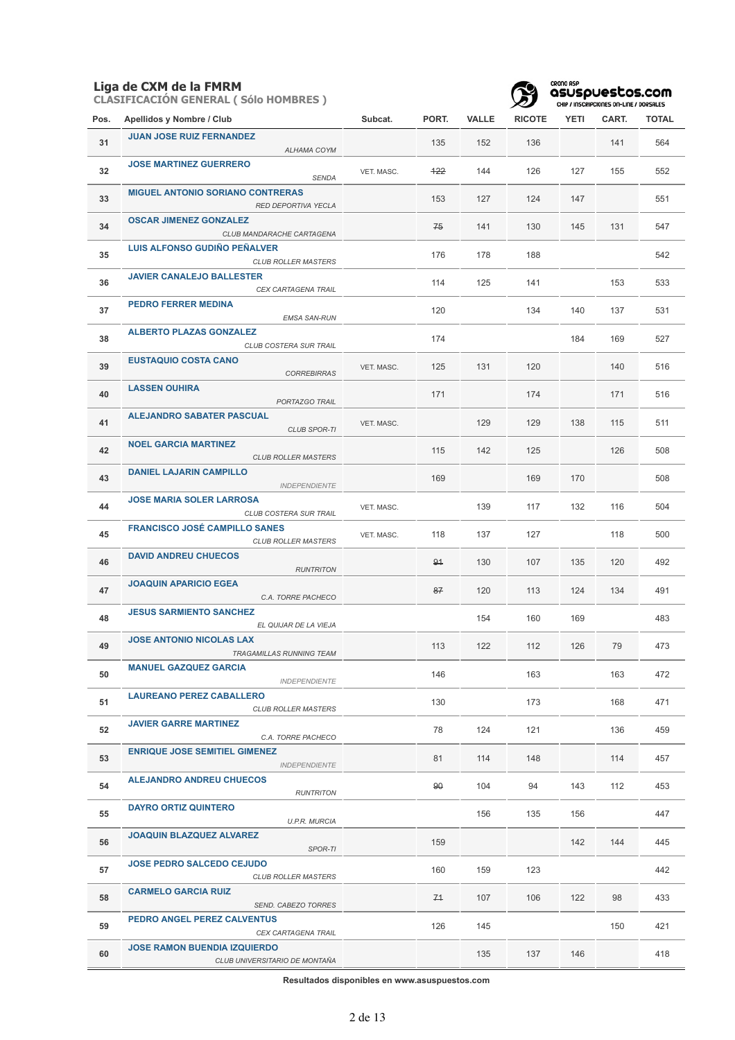**CLASIFICACIÓN GENERAL ( Sólo HOMBRES )**



| Pos. | Apellidos y Nombre / Club                                            | Subcat.    | PORT.    | <b>VALLE</b> | <b>RICOTE</b> | YETI | CART. | <b>TOTAL</b> |
|------|----------------------------------------------------------------------|------------|----------|--------------|---------------|------|-------|--------------|
| 31   | <b>JUAN JOSE RUIZ FERNANDEZ</b><br>ALHAMA COYM                       |            | 135      | 152          | 136           |      | 141   | 564          |
| 32   | <b>JOSE MARTINEZ GUERRERO</b><br><b>SENDA</b>                        | VET. MASC. | 422      | 144          | 126           | 127  | 155   | 552          |
| 33   | <b>MIGUEL ANTONIO SORIANO CONTRERAS</b><br>RED DEPORTIVA YECLA       |            | 153      | 127          | 124           | 147  |       | 551          |
| 34   | <b>OSCAR JIMENEZ GONZALEZ</b><br>CLUB MANDARACHE CARTAGENA           |            | 75       | 141          | 130           | 145  | 131   | 547          |
| 35   | <b>LUIS ALFONSO GUDIÑO PEÑALVER</b><br><b>CLUB ROLLER MASTERS</b>    |            | 176      | 178          | 188           |      |       | 542          |
| 36   | <b>JAVIER CANALEJO BALLESTER</b><br>CEX CARTAGENA TRAIL              |            | 114      | 125          | 141           |      | 153   | 533          |
| 37   | <b>PEDRO FERRER MEDINA</b><br><b>EMSA SAN-RUN</b>                    |            | 120      |              | 134           | 140  | 137   | 531          |
| 38   | <b>ALBERTO PLAZAS GONZALEZ</b><br>CLUB COSTERA SUR TRAIL             |            | 174      |              |               | 184  | 169   | 527          |
| 39   | <b>EUSTAQUIO COSTA CANO</b><br><b>CORREBIRRAS</b>                    | VET. MASC. | 125      | 131          | 120           |      | 140   | 516          |
| 40   | <b>LASSEN OUHIRA</b><br>PORTAZGO TRAIL                               |            | 171      |              | 174           |      | 171   | 516          |
| 41   | <b>ALEJANDRO SABATER PASCUAL</b><br><b>CLUB SPOR-TI</b>              | VET. MASC. |          | 129          | 129           | 138  | 115   | 511          |
| 42   | <b>NOEL GARCIA MARTINEZ</b><br><b>CLUB ROLLER MASTERS</b>            |            | 115      | 142          | 125           |      | 126   | 508          |
| 43   | <b>DANIEL LAJARIN CAMPILLO</b><br><b>INDEPENDIENTE</b>               |            | 169      |              | 169           | 170  |       | 508          |
| 44   | <b>JOSE MARIA SOLER LARROSA</b><br>CLUB COSTERA SUR TRAIL            | VET. MASC. |          | 139          | 117           | 132  | 116   | 504          |
| 45   | <b>FRANCISCO JOSÉ CAMPILLO SANES</b><br><b>CLUB ROLLER MASTERS</b>   | VET. MASC. | 118      | 137          | 127           |      | 118   | 500          |
| 46   | <b>DAVID ANDREU CHUECOS</b><br><b>RUNTRITON</b>                      |            | 94       | 130          | 107           | 135  | 120   | 492          |
| 47   | <b>JOAQUIN APARICIO EGEA</b><br>C.A. TORRE PACHECO                   |            | 87       | 120          | 113           | 124  | 134   | 491          |
| 48   | <b>JESUS SARMIENTO SANCHEZ</b><br>EL QUIJAR DE LA VIEJA              |            |          | 154          | 160           | 169  |       | 483          |
| 49   | <b>JOSE ANTONIO NICOLAS LAX</b><br>TRAGAMILLAS RUNNING TEAM          |            | 113      | 122          | 112           | 126  | 79    | 473          |
| 50   | <b>MANUEL GAZQUEZ GARCIA</b><br><b>INDEPENDIENTE</b>                 |            | 146      |              | 163           |      | 163   | 472          |
| 51   | <b>LAUREANO PEREZ CABALLERO</b><br><b>CLUB ROLLER MASTERS</b>        |            | 130      |              | 173           |      | 168   | 471          |
| 52   | <b>JAVIER GARRE MARTINEZ</b><br>C.A. TORRE PACHECO                   |            | 78       | 124          | 121           |      | 136   | 459          |
| 53   | <b>ENRIQUE JOSE SEMITIEL GIMENEZ</b><br><b>INDEPENDIENTE</b>         |            | 81       | 114          | 148           |      | 114   | 457          |
| 54   | <b>ALEJANDRO ANDREU CHUECOS</b><br><b>RUNTRITON</b>                  |            | $\theta$ | 104          | 94            | 143  | 112   | 453          |
| 55   | <b>DAYRO ORTIZ QUINTERO</b><br><b>U.P.R. MURCIA</b>                  |            |          | 156          | 135           | 156  |       | 447          |
| 56   | <b>JOAQUIN BLAZQUEZ ALVAREZ</b><br>SPOR-TI                           |            | 159      |              |               | 142  | 144   | 445          |
| 57   | <b>JOSE PEDRO SALCEDO CEJUDO</b><br><b>CLUB ROLLER MASTERS</b>       |            | 160      | 159          | 123           |      |       | 442          |
| 58   | <b>CARMELO GARCIA RUIZ</b><br>SEND. CABEZO TORRES                    |            | 71       | 107          | 106           | 122  | 98    | 433          |
| 59   | PEDRO ANGEL PEREZ CALVENTUS<br>CEX CARTAGENA TRAIL                   |            | 126      | 145          |               |      | 150   | 421          |
| 60   | <b>JOSE RAMON BUENDIA IZQUIERDO</b><br>CLUB UNIVERSITARIO DE MONTAÑA |            |          | 135          | 137           | 146  |       | 418          |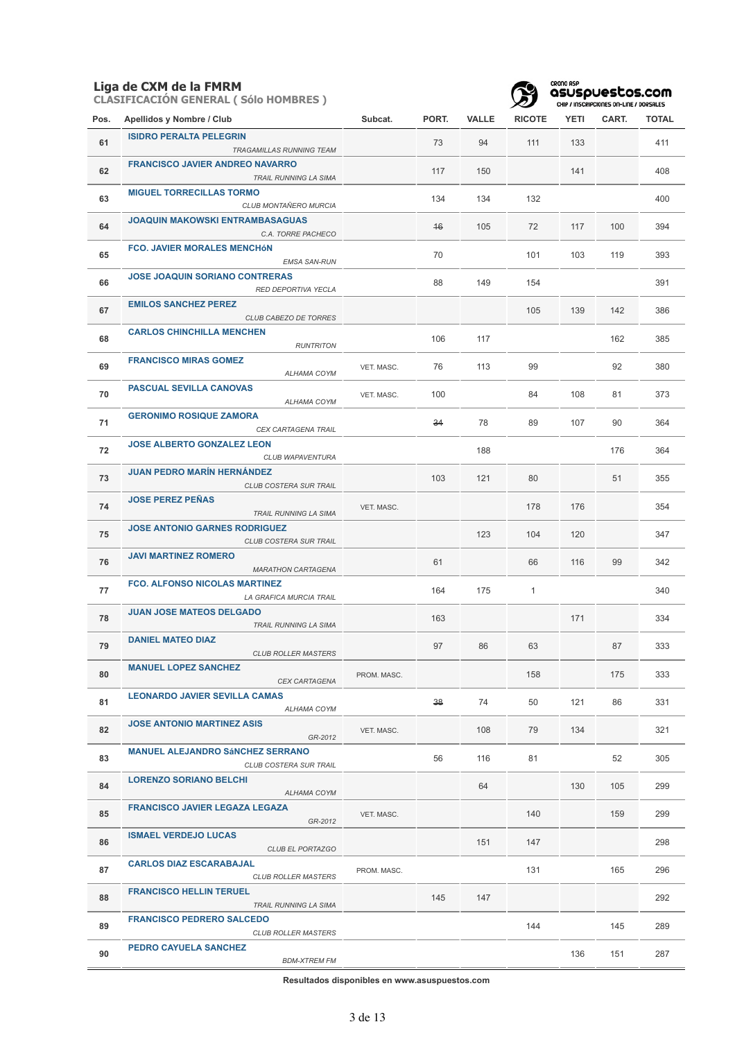**CLASIFICACIÓN GENERAL ( Sólo HOMBRES )**



| Pos. | Apellidos y Nombre / Club                                         | Subcat.     | PORT. | <b>VALLE</b> | <b>RICOTE</b> | <b>YETI</b> | CART. | TOTAL |
|------|-------------------------------------------------------------------|-------------|-------|--------------|---------------|-------------|-------|-------|
| 61   | <b>ISIDRO PERALTA PELEGRIN</b><br>TRAGAMILLAS RUNNING TEAM        |             | 73    | 94           | 111           | 133         |       | 411   |
| 62   | <b>FRANCISCO JAVIER ANDREO NAVARRO</b><br>TRAIL RUNNING LA SIMA   |             | 117   | 150          |               | 141         |       | 408   |
| 63   | <b>MIGUEL TORRECILLAS TORMO</b><br>CLUB MONTAÑERO MURCIA          |             | 134   | 134          | 132           |             |       | 400   |
| 64   | <b>JOAQUIN MAKOWSKI ENTRAMBASAGUAS</b><br>C.A. TORRE PACHECO      |             | $+6$  | 105          | 72            | 117         | 100   | 394   |
| 65   | <b>FCO. JAVIER MORALES MENCHÓN</b><br><b>EMSA SAN-RUN</b>         |             | 70    |              | 101           | 103         | 119   | 393   |
| 66   | <b>JOSE JOAQUIN SORIANO CONTRERAS</b><br>RED DEPORTIVA YECLA      |             | 88    | 149          | 154           |             |       | 391   |
| 67   | <b>EMILOS SANCHEZ PEREZ</b><br>CLUB CABEZO DE TORRES              |             |       |              | 105           | 139         | 142   | 386   |
| 68   | <b>CARLOS CHINCHILLA MENCHEN</b><br><b>RUNTRITON</b>              |             | 106   | 117          |               |             | 162   | 385   |
| 69   | <b>FRANCISCO MIRAS GOMEZ</b><br>ALHAMA COYM                       | VET. MASC.  | 76    | 113          | 99            |             | 92    | 380   |
| 70   | <b>PASCUAL SEVILLA CANOVAS</b><br>ALHAMA COYM                     | VET. MASC.  | 100   |              | 84            | 108         | 81    | 373   |
| 71   | <b>GERONIMO ROSIQUE ZAMORA</b><br>CEX CARTAGENA TRAIL             |             | 34    | 78           | 89            | 107         | 90    | 364   |
| 72   | <b>JOSE ALBERTO GONZALEZ LEON</b><br>CLUB WAPAVENTURA             |             |       | 188          |               |             | 176   | 364   |
| 73   | <b>JUAN PEDRO MARÍN HERNÁNDEZ</b><br>CLUB COSTERA SUR TRAIL       |             | 103   | 121          | 80            |             | 51    | 355   |
| 74   | <b>JOSE PEREZ PEÑAS</b><br>TRAIL RUNNING LA SIMA                  | VET. MASC.  |       |              | 178           | 176         |       | 354   |
| 75   | <b>JOSE ANTONIO GARNES RODRIGUEZ</b><br>CLUB COSTERA SUR TRAIL    |             |       | 123          | 104           | 120         |       | 347   |
| 76   | <b>JAVI MARTINEZ ROMERO</b><br><b>MARATHON CARTAGENA</b>          |             | 61    |              | 66            | 116         | 99    | 342   |
| 77   | <b>FCO. ALFONSO NICOLAS MARTINEZ</b><br>LA GRAFICA MURCIA TRAIL   |             | 164   | 175          | $\mathbf{1}$  |             |       | 340   |
| 78   | <b>JUAN JOSE MATEOS DELGADO</b><br><b>TRAIL RUNNING LA SIMA</b>   |             | 163   |              |               | 171         |       | 334   |
| 79   | <b>DANIEL MATEO DIAZ</b><br><b>CLUB ROLLER MASTERS</b>            |             | 97    | 86           | 63            |             | 87    | 333   |
| 80   | <b>MANUEL LOPEZ SANCHEZ</b><br>CEX CARTAGENA                      | PROM. MASC. |       |              | 158           |             | 175   | 333   |
| 81   | <b>LEONARDO JAVIER SEVILLA CAMAS</b><br>ALHAMA COYM               |             | 38    | 74           | 50            | 121         | 86    | 331   |
| 82   | <b>JOSE ANTONIO MARTINEZ ASIS</b><br>GR-2012                      | VET. MASC.  |       | 108          | 79            | 134         |       | 321   |
| 83   | <b>MANUEL ALEJANDRO SÁNCHEZ SERRANO</b><br>CLUB COSTERA SUR TRAIL |             | 56    | 116          | 81            |             | 52    | 305   |
| 84   | <b>LORENZO SORIANO BELCHI</b><br>ALHAMA COYM                      |             |       | 64           |               | 130         | 105   | 299   |
| 85   | <b>FRANCISCO JAVIER LEGAZA LEGAZA</b><br>GR-2012                  | VET. MASC.  |       |              | 140           |             | 159   | 299   |
| 86   | <b>ISMAEL VERDEJO LUCAS</b><br>CLUB EL PORTAZGO                   |             |       | 151          | 147           |             |       | 298   |
| 87   | <b>CARLOS DIAZ ESCARABAJAL</b><br><b>CLUB ROLLER MASTERS</b>      | PROM. MASC. |       |              | 131           |             | 165   | 296   |
| 88   | <b>FRANCISCO HELLIN TERUEL</b><br>TRAIL RUNNING LA SIMA           |             | 145   | 147          |               |             |       | 292   |
| 89   | <b>FRANCISCO PEDRERO SALCEDO</b><br><b>CLUB ROLLER MASTERS</b>    |             |       |              | 144           |             | 145   | 289   |
| 90   | PEDRO CAYUELA SANCHEZ<br><b>BDM-XTREM FM</b>                      |             |       |              |               | 136         | 151   | 287   |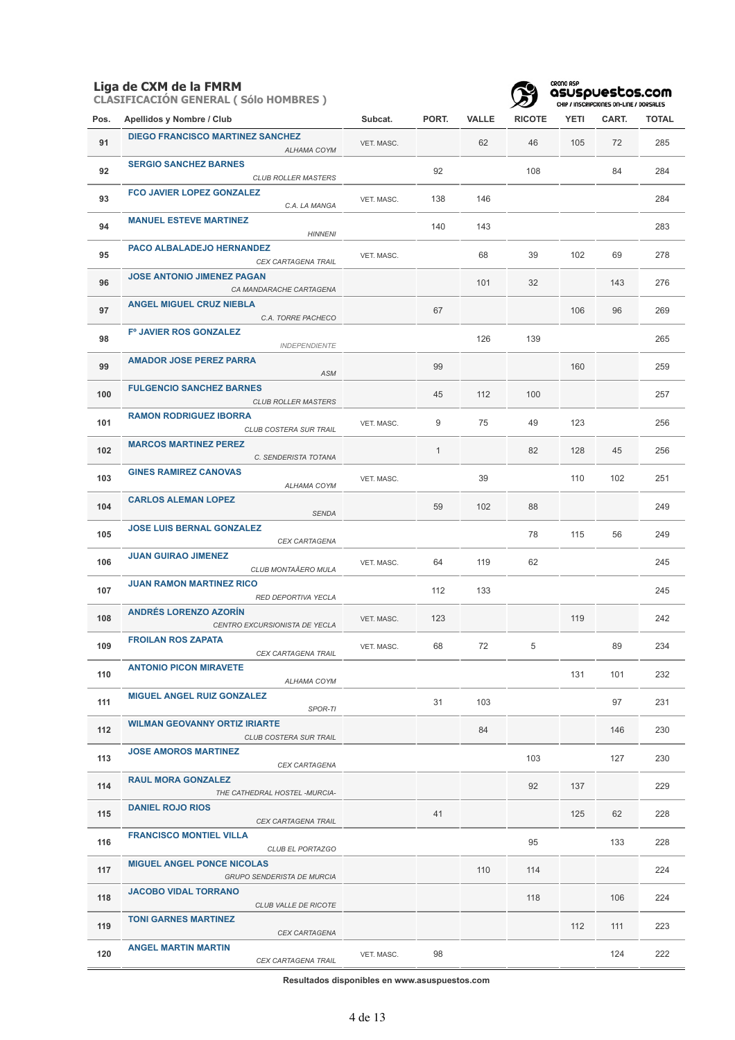**CLASIFICACIÓN GENERAL ( Sólo HOMBRES )**



CRONO ASP<br>**asuspuestos.com**<br>CHIP / INSCRIPCIONES ON-LINE / DORSALES

| Pos. | Apellidos y Nombre / Club                                       | Subcat.    | PORT.        | <b>VALLE</b> | <b>RICOTE</b> | <b>YETI</b> | CART. | <b>TOTAL</b> |
|------|-----------------------------------------------------------------|------------|--------------|--------------|---------------|-------------|-------|--------------|
| 91   | <b>DIEGO FRANCISCO MARTINEZ SANCHEZ</b><br>ALHAMA COYM          | VET. MASC. |              | 62           | 46            | 105         | 72    | 285          |
| 92   | <b>SERGIO SANCHEZ BARNES</b><br><b>CLUB ROLLER MASTERS</b>      |            | 92           |              | 108           |             | 84    | 284          |
| 93   | <b>FCO JAVIER LOPEZ GONZALEZ</b><br>C.A. LA MANGA               | VET. MASC. | 138          | 146          |               |             |       | 284          |
| 94   | <b>MANUEL ESTEVE MARTINEZ</b><br><b>HINNENI</b>                 |            | 140          | 143          |               |             |       | 283          |
| 95   | PACO ALBALADEJO HERNANDEZ<br>CEX CARTAGENA TRAIL                | VET. MASC. |              | 68           | 39            | 102         | 69    | 278          |
| 96   | <b>JOSE ANTONIO JIMENEZ PAGAN</b><br>CA MANDARACHE CARTAGENA    |            |              | 101          | 32            |             | 143   | 276          |
| 97   | <b>ANGEL MIGUEL CRUZ NIEBLA</b><br>C.A. TORRE PACHECO           |            | 67           |              |               | 106         | 96    | 269          |
| 98   | F° JAVIER ROS GONZALEZ<br><b>INDEPENDIENTE</b>                  |            |              | 126          | 139           |             |       | 265          |
| 99   | <b>AMADOR JOSE PEREZ PARRA</b><br>ASM                           |            | 99           |              |               | 160         |       | 259          |
| 100  | <b>FULGENCIO SANCHEZ BARNES</b><br><b>CLUB ROLLER MASTERS</b>   |            | 45           | 112          | 100           |             |       | 257          |
| 101  | <b>RAMON RODRIGUEZ IBORRA</b><br>CLUB COSTERA SUR TRAIL         | VET. MASC. | 9            | 75           | 49            | 123         |       | 256          |
| 102  | <b>MARCOS MARTINEZ PEREZ</b><br>C. SENDERISTA TOTANA            |            | $\mathbf{1}$ |              | 82            | 128         | 45    | 256          |
| 103  | <b>GINES RAMIREZ CANOVAS</b><br>ALHAMA COYM                     | VET. MASC. |              | 39           |               | 110         | 102   | 251          |
| 104  | <b>CARLOS ALEMAN LOPEZ</b><br><b>SENDA</b>                      |            | 59           | 102          | 88            |             |       | 249          |
| 105  | <b>JOSE LUIS BERNAL GONZALEZ</b><br>CEX CARTAGENA               |            |              |              | 78            | 115         | 56    | 249          |
| 106  | <b>JUAN GUIRAO JIMENEZ</b><br>CLUB MONTAÃERO MULA               | VET. MASC. | 64           | 119          | 62            |             |       | 245          |
| 107  | <b>JUAN RAMON MARTINEZ RICO</b><br>RED DEPORTIVA YECLA          |            | 112          | 133          |               |             |       | 245          |
| 108  | <b>ANDRÉS LORENZO AZORÍN</b><br>CENTRO EXCURSIONISTA DE YECLA   | VET. MASC. | 123          |              |               | 119         |       | 242          |
| 109  | <b>FROILAN ROS ZAPATA</b><br>CEX CARTAGENA TRAIL                | VET. MASC. | 68           | 72           | 5             |             | 89    | 234          |
| 110  | <b>ANTONIO PICON MIRAVETE</b><br>ALHAMA COYM                    |            |              |              |               | 131         | 101   | 232          |
| 111  | <b>MIGUEL ANGEL RUIZ GONZALEZ</b><br>SPOR-TI                    |            | 31           | 103          |               |             | 97    | 231          |
| 112  | <b>WILMAN GEOVANNY ORTIZ IRIARTE</b><br>CLUB COSTERA SUR TRAIL  |            |              | 84           |               |             | 146   | 230          |
| 113  | <b>JOSE AMOROS MARTINEZ</b><br>CEX CARTAGENA                    |            |              |              | 103           |             | 127   | 230          |
| 114  | <b>RAUL MORA GONZALEZ</b><br>THE CATHEDRAL HOSTEL -MURCIA-      |            |              |              | 92            | 137         |       | 229          |
| 115  | <b>DANIEL ROJO RIOS</b><br>CEX CARTAGENA TRAIL                  |            | 41           |              |               | 125         | 62    | 228          |
| 116  | <b>FRANCISCO MONTIEL VILLA</b><br>CLUB EL PORTAZGO              |            |              |              | 95            |             | 133   | 228          |
| 117  | <b>MIGUEL ANGEL PONCE NICOLAS</b><br>GRUPO SENDERISTA DE MURCIA |            |              | 110          | 114           |             |       | 224          |
| 118  | <b>JACOBO VIDAL TORRANO</b><br>CLUB VALLE DE RICOTE             |            |              |              | 118           |             | 106   | 224          |
| 119  | <b>TONI GARNES MARTINEZ</b><br>CEX CARTAGENA                    |            |              |              |               | 112         | 111   | 223          |
| 120  | <b>ANGEL MARTIN MARTIN</b><br>CEX CARTAGENA TRAIL               | VET. MASC. | 98           |              |               |             | 124   | 222          |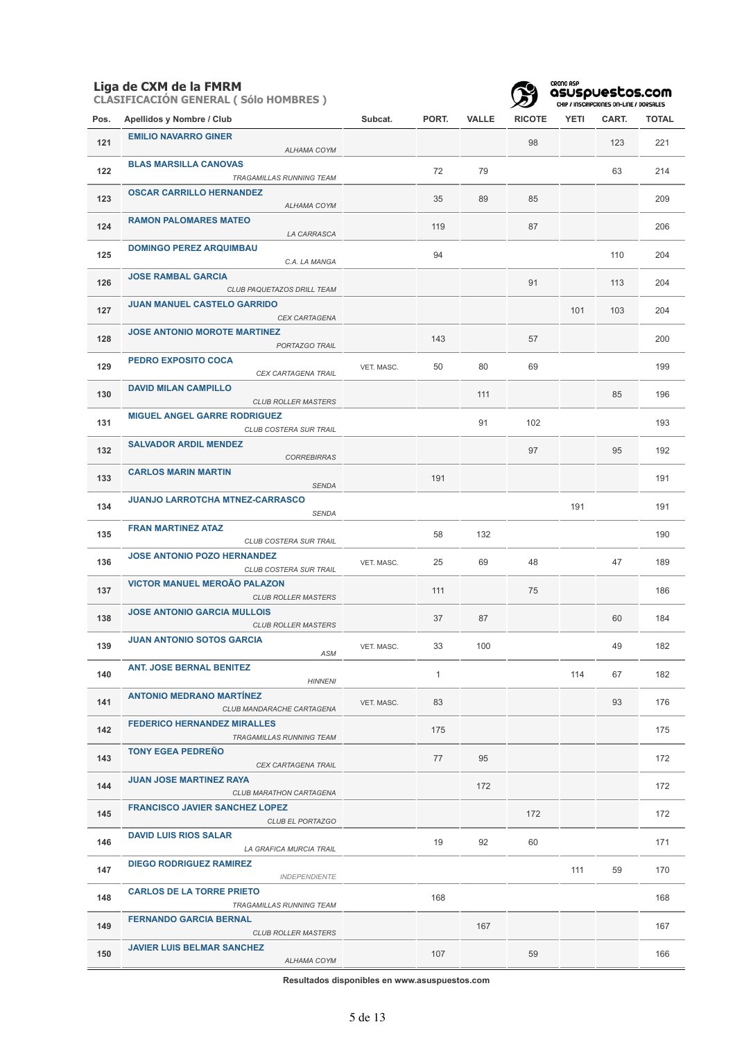|      | Liga de CXM de la FMRM<br><b>CLASIFICACIÓN GENERAL (Sólo HOMBRES)</b> |            |              |              |               | CRONO ASP<br>asusouestos.com<br>CHIP / INSCRIPCIONES ON-LINE / DORSALES |       |              |  |
|------|-----------------------------------------------------------------------|------------|--------------|--------------|---------------|-------------------------------------------------------------------------|-------|--------------|--|
| Pos. | Apellidos y Nombre / Club                                             | Subcat.    | PORT.        | <b>VALLE</b> | <b>RICOTE</b> | <b>YETI</b>                                                             | CART. | <b>TOTAL</b> |  |
| 121  | <b>EMILIO NAVARRO GINER</b><br>ALHAMA COYM                            |            |              |              | 98            |                                                                         | 123   | 221          |  |
| 122  | <b>BLAS MARSILLA CANOVAS</b><br>TRAGAMILLAS RUNNING TEAM              |            | 72           | 79           |               |                                                                         | 63    | 214          |  |
| 123  | <b>OSCAR CARRILLO HERNANDEZ</b><br>ALHAMA COYM                        |            | 35           | 89           | 85            |                                                                         |       | 209          |  |
| 124  | <b>RAMON PALOMARES MATEO</b><br>LA CARRASCA                           |            | 119          |              | 87            |                                                                         |       | 206          |  |
| 125  | <b>DOMINGO PEREZ ARQUIMBAU</b><br>C.A. LA MANGA                       |            | 94           |              |               |                                                                         | 110   | 204          |  |
| 126  | <b>JOSE RAMBAL GARCIA</b><br>CLUB PAQUETAZOS DRILL TEAM               |            |              |              | 91            |                                                                         | 113   | 204          |  |
| 127  | <b>JUAN MANUEL CASTELO GARRIDO</b><br><b>CEX CARTAGENA</b>            |            |              |              |               | 101                                                                     | 103   | 204          |  |
| 128  | <b>JOSE ANTONIO MOROTE MARTINEZ</b><br>PORTAZGO TRAIL                 |            | 143          |              | 57            |                                                                         |       | 200          |  |
| 129  | <b>PEDRO EXPOSITO COCA</b><br><b>CEX CARTAGENA TRAIL</b>              | VET. MASC. | 50           | 80           | 69            |                                                                         |       | 199          |  |
| 130  | <b>DAVID MILAN CAMPILLO</b><br><b>CLUB ROLLER MASTERS</b>             |            |              | 111          |               |                                                                         | 85    | 196          |  |
| 131  | <b>MIGUEL ANGEL GARRE RODRIGUEZ</b><br>CLUB COSTERA SUR TRAIL         |            |              | 91           | 102           |                                                                         |       | 193          |  |
| 132  | <b>SALVADOR ARDIL MENDEZ</b><br><b>CORREBIRRAS</b>                    |            |              |              | 97            |                                                                         | 95    | 192          |  |
| 133  | <b>CARLOS MARIN MARTIN</b><br><b>SENDA</b>                            |            | 191          |              |               |                                                                         |       | 191          |  |
| 134  | JUANJO LARROTCHA MTNEZ-CARRASCO<br><b>SENDA</b>                       |            |              |              |               | 191                                                                     |       | 191          |  |
| 135  | <b>FRAN MARTINEZ ATAZ</b><br>CLUB COSTERA SUR TRAIL                   |            | 58           | 132          |               |                                                                         |       | 190          |  |
| 136  | <b>JOSE ANTONIO POZO HERNANDEZ</b><br>CLUB COSTERA SUR TRAIL          | VET. MASC. | 25           | 69           | 48            |                                                                         | 47    | 189          |  |
| 137  | <b>VICTOR MANUEL MEROÃO PALAZON</b><br><b>CLUB ROLLER MASTERS</b>     |            | 111          |              | 75            |                                                                         |       | 186          |  |
| 138  | <b>JOSE ANTONIO GARCIA MULLOIS</b><br><b>CLUB ROLLER MASTERS</b>      |            | 37           | 87           |               |                                                                         | 60    | 184          |  |
| 139  | <b>JUAN ANTONIO SOTOS GARCIA</b><br><b>ASM</b>                        | VET. MASC. | 33           | 100          |               |                                                                         | 49    | 182          |  |
| 140  | <b>ANT. JOSE BERNAL BENITEZ</b><br><b>HINNENI</b>                     |            | $\mathbf{1}$ |              |               | 114                                                                     | 67    | 182          |  |
| 141  | <b>ANTONIO MEDRANO MARTINEZ</b><br>CLUB MANDARACHE CARTAGENA          | VET. MASC. | 83           |              |               |                                                                         | 93    | 176          |  |
| 142  | <b>FEDERICO HERNANDEZ MIRALLES</b><br>TRAGAMILLAS RUNNING TEAM        |            | 175          |              |               |                                                                         |       | 175          |  |
| 143  | <b>TONY EGEA PEDRENO</b><br>CEX CARTAGENA TRAIL                       |            | 77           | 95           |               |                                                                         |       | 172          |  |
| 144  | <b>JUAN JOSE MARTINEZ RAYA</b><br>CLUB MARATHON CARTAGENA             |            |              | 172          |               |                                                                         |       | 172          |  |
| 145  | <b>FRANCISCO JAVIER SANCHEZ LOPEZ</b><br>CLUB EL PORTAZGO             |            |              |              | 172           |                                                                         |       | 172          |  |
| 146  | <b>DAVID LUIS RIOS SALAR</b><br>LA GRAFICA MURCIA TRAIL               |            | 19           | 92           | 60            |                                                                         |       | 171          |  |
| 147  | <b>DIEGO RODRIGUEZ RAMIREZ</b><br><b>INDEPENDIENTE</b>                |            |              |              |               | 111                                                                     | 59    | 170          |  |
| 148  | <b>CARLOS DE LA TORRE PRIETO</b><br>TRAGAMILLAS RUNNING TEAM          |            | 168          |              |               |                                                                         |       | 168          |  |
| 149  | <b>FERNANDO GARCIA BERNAL</b><br><b>CLUB ROLLER MASTERS</b>           |            |              | 167          |               |                                                                         |       | 167          |  |
| 150  | <b>JAVIER LUIS BELMAR SANCHEZ</b><br>ALHAMA COYM                      |            | 107          |              | 59            |                                                                         |       | 166          |  |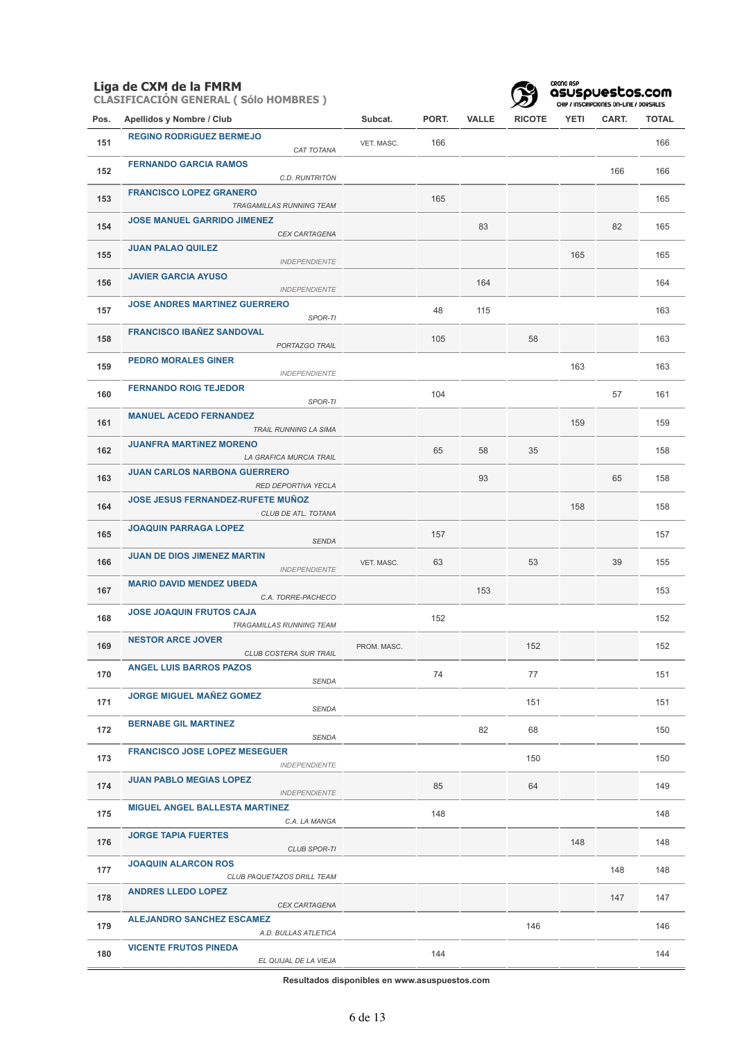**CLASIFICACIÓN GENERAL ( Sólo HOMBRES )**



CRONO ASP<br>**asuspuestos.com**<br>CHIP / INSCRIPCIONES ON-LINE / DORSALES

| Pos. | Apellidos y Nombre / Club                                       | Subcat.     | PORT. | <b>VALLE</b> | <b>RICOTE</b> | YETI | CART. | <b>TOTAL</b> |
|------|-----------------------------------------------------------------|-------------|-------|--------------|---------------|------|-------|--------------|
| 151  | <b>REGINO RODRÍGUEZ BERMEJO</b><br>CAT TOTANA                   | VET. MASC.  | 166   |              |               |      |       | 166          |
| 152  | <b>FERNANDO GARCIA RAMOS</b><br>C.D. RUNTRITÓN                  |             |       |              |               |      | 166   | 166          |
| 153  | <b>FRANCISCO LOPEZ GRANERO</b><br>TRAGAMILLAS RUNNING TEAM      |             | 165   |              |               |      |       | 165          |
| 154  | <b>JOSE MANUEL GARRIDO JIMENEZ</b><br>CEX CARTAGENA             |             |       | 83           |               |      | 82    | 165          |
| 155  | <b>JUAN PALAO QUILEZ</b><br><b>INDEPENDIENTE</b>                |             |       |              |               | 165  |       | 165          |
| 156  | <b>JAVIER GARCIA AYUSO</b><br><b>INDEPENDIENTE</b>              |             |       | 164          |               |      |       | 164          |
| 157  | <b>JOSE ANDRES MARTINEZ GUERRERO</b><br>SPOR-TI                 |             | 48    | 115          |               |      |       | 163          |
| 158  | <b>FRANCISCO IBAÑEZ SANDOVAL</b><br>PORTAZGO TRAIL              |             | 105   |              | 58            |      |       | 163          |
| 159  | <b>PEDRO MORALES GINER</b><br><b>INDEPENDIENTE</b>              |             |       |              |               | 163  |       | 163          |
| 160  | <b>FERNANDO ROIG TEJEDOR</b><br>SPOR-TI                         |             | 104   |              |               |      | 57    | 161          |
| 161  | <b>MANUEL ACEDO FERNANDEZ</b><br>TRAIL RUNNING LA SIMA          |             |       |              |               | 159  |       | 159          |
| 162  | <b>JUANFRA MARTÍNEZ MORENO</b><br>LA GRAFICA MURCIA TRAIL       |             | 65    | 58           | 35            |      |       | 158          |
| 163  | <b>JUAN CARLOS NARBONA GUERRERO</b><br>RED DEPORTIVA YECLA      |             |       | 93           |               |      | 65    | 158          |
| 164  | <b>JOSE JESUS FERNANDEZ-RUFETE MUÑOZ</b><br>CLUB DE ATL. TOTANA |             |       |              |               | 158  |       | 158          |
| 165  | <b>JOAQUIN PARRAGA LOPEZ</b><br><b>SENDA</b>                    |             | 157   |              |               |      |       | 157          |
| 166  | <b>JUAN DE DIOS JIMENEZ MARTIN</b><br><b>INDEPENDIENTE</b>      | VET. MASC.  | 63    |              | 53            |      | 39    | 155          |
| 167  | <b>MARIO DAVID MENDEZ UBEDA</b><br>C.A. TORRE-PACHECO           |             |       | 153          |               |      |       | 153          |
| 168  | <b>JOSE JOAQUIN FRUTOS CAJA</b><br>TRAGAMILLAS RUNNING TEAM     |             | 152   |              |               |      |       | 152          |
| 169  | <b>NESTOR ARCE JOVER</b><br><b>CLUB COSTERA SUR TRAIL</b>       | PROM. MASC. |       |              | 152           |      |       | 152          |
| 170  | <b>ANGEL LUIS BARROS PAZOS</b><br>SENDA                         |             | 74    |              | 77            |      |       | 151          |
| 171  | <b>JORGE MIGUEL MAÑEZ GOMEZ</b><br>SENDA                        |             |       |              | 151           |      |       | 151          |
| 172  | <b>BERNABE GIL MARTINEZ</b><br>SENDA                            |             |       | 82           | 68            |      |       | 150          |
| 173  | <b>FRANCISCO JOSE LOPEZ MESEGUER</b><br><b>INDEPENDIENTE</b>    |             |       |              | 150           |      |       | 150          |
| 174  | <b>JUAN PABLO MEGIAS LOPEZ</b><br><b>INDEPENDIENTE</b>          |             | 85    |              | 64            |      |       | 149          |
| 175  | <b>MIGUEL ANGEL BALLESTA MARTINEZ</b><br>C.A. LA MANGA          |             | 148   |              |               |      |       | 148          |
| 176  | <b>JORGE TAPIA FUERTES</b><br><b>CLUB SPOR-TI</b>               |             |       |              |               | 148  |       | 148          |
| 177  | <b>JOAQUIN ALARCON ROS</b><br>CLUB PAQUETAZOS DRILL TEAM        |             |       |              |               |      | 148   | 148          |
| 178  | <b>ANDRES LLEDO LOPEZ</b><br>CEX CARTAGENA                      |             |       |              |               |      | 147   | 147          |
| 179  | <b>ALEJANDRO SANCHEZ ESCAMEZ</b><br>A.D. BULLAS ATLETICA        |             |       |              | 146           |      |       | 146          |
| 180  | <b>VICENTE FRUTOS PINEDA</b><br>EL QUIJAL DE LA VIEJA           |             | 144   |              |               |      |       | 144          |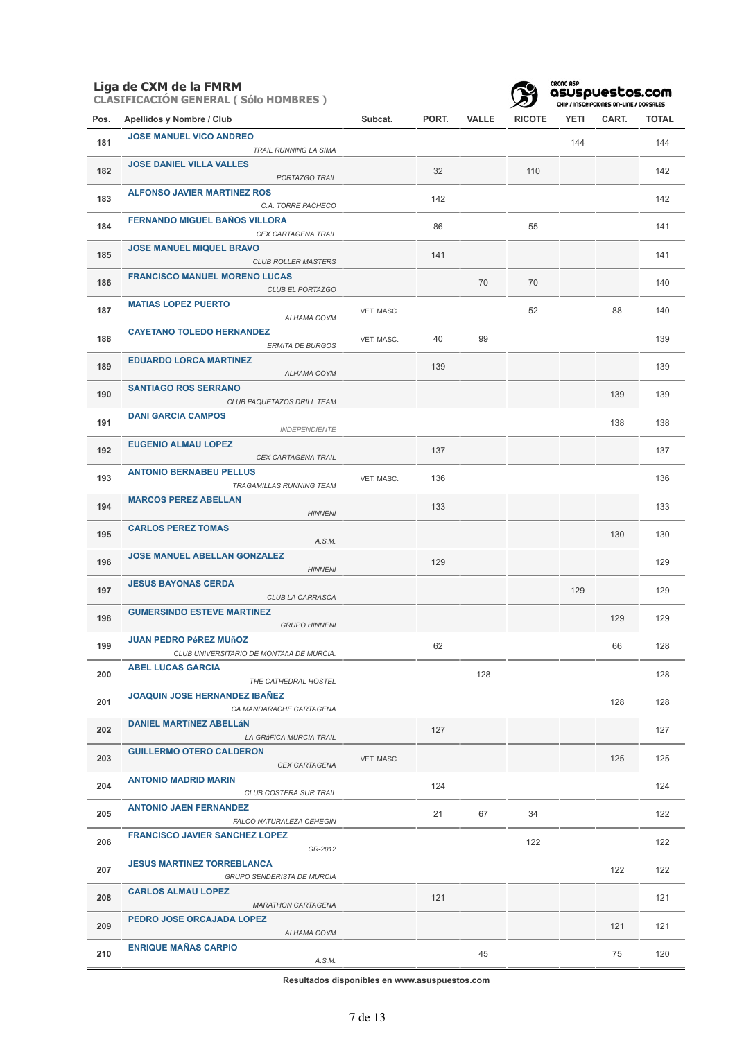|      | <b>CLASIFICACIÓN GENERAL (Sólo HOMBRES)</b> |         |
|------|---------------------------------------------|---------|
| Pos. | Apellidos y Nombre / Club                   | Subcat. |
| 181  | <b>JOSE MANUEL VICO ANDREO</b>              |         |

| 181 | <b>JOSE MANUEL VICO ANDREO</b>                                            |            |     |     |     | 144 |     | 144 |
|-----|---------------------------------------------------------------------------|------------|-----|-----|-----|-----|-----|-----|
|     | TRAIL RUNNING LA SIMA                                                     |            |     |     |     |     |     |     |
| 182 | <b>JOSE DANIEL VILLA VALLES</b><br>PORTAZGO TRAIL                         |            | 32  |     | 110 |     |     | 142 |
| 183 | <b>ALFONSO JAVIER MARTINEZ ROS</b><br>C.A. TORRE PACHECO                  |            | 142 |     |     |     |     | 142 |
| 184 | <b>FERNANDO MIGUEL BAÑOS VILLORA</b><br>CEX CARTAGENA TRAIL               |            | 86  |     | 55  |     |     | 141 |
| 185 | <b>JOSE MANUEL MIQUEL BRAVO</b><br><b>CLUB ROLLER MASTERS</b>             |            | 141 |     |     |     |     | 141 |
| 186 | <b>FRANCISCO MANUEL MORENO LUCAS</b><br>CLUB EL PORTAZGO                  |            |     | 70  | 70  |     |     | 140 |
| 187 | <b>MATIAS LOPEZ PUERTO</b><br>ALHAMA COYM                                 | VET. MASC. |     |     | 52  |     | 88  | 140 |
| 188 | <b>CAYETANO TOLEDO HERNANDEZ</b><br><b>ERMITA DE BURGOS</b>               | VET. MASC. | 40  | 99  |     |     |     | 139 |
| 189 | <b>EDUARDO LORCA MARTINEZ</b><br>ALHAMA COYM                              |            | 139 |     |     |     |     | 139 |
| 190 | <b>SANTIAGO ROS SERRANO</b><br>CLUB PAQUETAZOS DRILL TEAM                 |            |     |     |     |     | 139 | 139 |
| 191 | <b>DANI GARCIA CAMPOS</b><br><b>INDEPENDIENTE</b>                         |            |     |     |     |     | 138 | 138 |
| 192 | <b>EUGENIO ALMAU LOPEZ</b><br>CEX CARTAGENA TRAIL                         |            | 137 |     |     |     |     | 137 |
| 193 | <b>ANTONIO BERNABEU PELLUS</b><br>TRAGAMILLAS RUNNING TEAM                | VET. MASC. | 136 |     |     |     |     | 136 |
| 194 | <b>MARCOS PEREZ ABELLAN</b><br><b>HINNENI</b>                             |            | 133 |     |     |     |     | 133 |
| 195 | <b>CARLOS PEREZ TOMAS</b><br>A.S.M.                                       |            |     |     |     |     | 130 | 130 |
| 196 | <b>JOSE MANUEL ABELLAN GONZALEZ</b>                                       |            | 129 |     |     |     |     | 129 |
|     | <b>HINNENI</b>                                                            |            |     |     |     |     |     |     |
| 197 | <b>JESUS BAYONAS CERDA</b><br>CLUB LA CARRASCA                            |            |     |     |     | 129 |     | 129 |
| 198 | <b>GUMERSINDO ESTEVE MARTINEZ</b><br><b>GRUPO HINNENI</b>                 |            |     |     |     |     | 129 | 129 |
| 199 | <b>JUAN PEDRO PéREZ MUñOZ</b><br>CLUB UNIVERSITARIO DE MONTAñA DE MURCIA. |            | 62  |     |     |     | 66  | 128 |
| 200 | <b>ABEL LUCAS GARCIA</b><br>THE CATHEDRAL HOSTEL                          |            |     | 128 |     |     |     | 128 |
| 201 | <b>JOAQUIN JOSE HERNANDEZ IBANEZ</b><br>CA MANDARACHE CARTAGENA           |            |     |     |     |     | 128 | 128 |
| 202 | <b>DANIEL MARTÍNEZ ABELLÁN</b><br>LA GRÁFICA MURCIA TRAIL                 |            | 127 |     |     |     |     | 127 |
| 203 | <b>GUILLERMO OTERO CALDERON</b><br>CEX CARTAGENA                          | VET. MASC. |     |     |     |     | 125 | 125 |
| 204 | <b>ANTONIO MADRID MARIN</b><br>CLUB COSTERA SUR TRAIL                     |            | 124 |     |     |     |     | 124 |
| 205 | <b>ANTONIO JAEN FERNANDEZ</b><br>FALCO NATURALEZA CEHEGIN                 |            | 21  | 67  | 34  |     |     | 122 |
| 206 | <b>FRANCISCO JAVIER SANCHEZ LOPEZ</b><br>GR-2012                          |            |     |     | 122 |     |     | 122 |
| 207 | <b>JESUS MARTINEZ TORREBLANCA</b><br>GRUPO SENDERISTA DE MURCIA           |            |     |     |     |     | 122 | 122 |
| 208 | <b>CARLOS ALMAU LOPEZ</b><br><b>MARATHON CARTAGENA</b>                    |            | 121 |     |     |     |     | 121 |
| 209 | PEDRO JOSE ORCAJADA LOPEZ<br>ALHAMA COYM                                  |            |     |     |     |     | 121 | 121 |

**Pos. Apellidos y Nombre / Club Subcat. PORT. VALLE RICOTE YETI CART. TOTAL**

CRONO ASP<br>**asuspuestos.com**<br>CHIP / INSCRIPCIONES ON-LINE / DORSALES

**Resultados disponibles en www.asuspuestos.com**

*A.S.M.*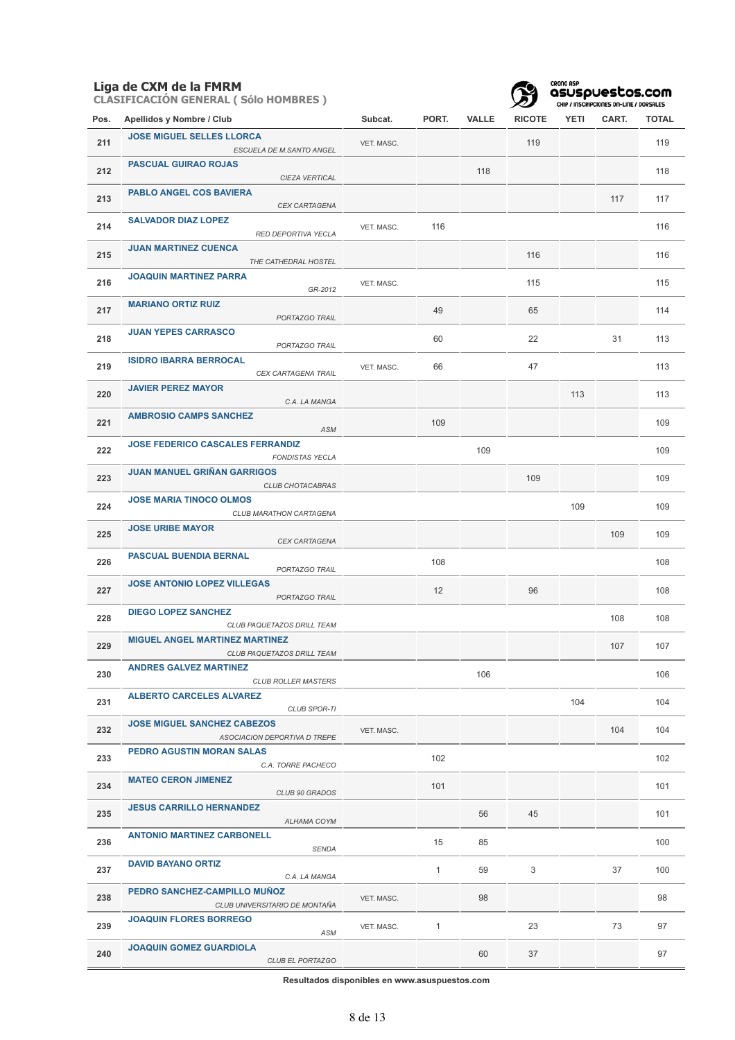**CLASIFICACIÓN GENERAL ( Sólo HOMBRES )**



CRONO ASP<br>**asuspuestos.com**<br>CHIP / INSCRIPCIONES ON-LINE / DORSALES

| Pos. | Apellidos y Nombre / Club                                           | Subcat.    | PORT.        | <b>VALLE</b> | <b>RICOTE</b> | YETI | CART. | <b>TOTAL</b> |
|------|---------------------------------------------------------------------|------------|--------------|--------------|---------------|------|-------|--------------|
| 211  | <b>JOSE MIGUEL SELLES LLORCA</b><br>ESCUELA DE M.SANTO ANGEL        | VET. MASC. |              |              | 119           |      |       | 119          |
| 212  | <b>PASCUAL GUIRAO ROJAS</b><br>CIEZA VERTICAL                       |            |              | 118          |               |      |       | 118          |
| 213  | <b>PABLO ANGEL COS BAVIERA</b><br><b>CEX CARTAGENA</b>              |            |              |              |               |      | 117   | 117          |
| 214  | <b>SALVADOR DIAZ LOPEZ</b><br>RED DEPORTIVA YECLA                   | VET. MASC. | 116          |              |               |      |       | 116          |
| 215  | <b>JUAN MARTINEZ CUENCA</b><br>THE CATHEDRAL HOSTEL                 |            |              |              | 116           |      |       | 116          |
| 216  | <b>JOAQUIN MARTINEZ PARRA</b><br>GR-2012                            | VET. MASC. |              |              | 115           |      |       | 115          |
| 217  | <b>MARIANO ORTIZ RUIZ</b><br>PORTAZGO TRAIL                         |            | 49           |              | 65            |      |       | 114          |
| 218  | <b>JUAN YEPES CARRASCO</b><br>PORTAZGO TRAIL                        |            | 60           |              | 22            |      | 31    | 113          |
| 219  | <b>ISIDRO IBARRA BERROCAL</b><br>CEX CARTAGENA TRAIL                | VET. MASC. | 66           |              | 47            |      |       | 113          |
| 220  | <b>JAVIER PEREZ MAYOR</b><br>C.A. LA MANGA                          |            |              |              |               | 113  |       | 113          |
| 221  | <b>AMBROSIO CAMPS SANCHEZ</b><br>ASM                                |            | 109          |              |               |      |       | 109          |
| 222  | <b>JOSE FEDERICO CASCALES FERRANDIZ</b><br><b>FONDISTAS YECLA</b>   |            |              | 109          |               |      |       | 109          |
| 223  | <b>JUAN MANUEL GRIÑAN GARRIGOS</b><br><b>CLUB CHOTACABRAS</b>       |            |              |              | 109           |      |       | 109          |
| 224  | <b>JOSE MARIA TINOCO OLMOS</b><br>CLUB MARATHON CARTAGENA           |            |              |              |               | 109  |       | 109          |
| 225  | <b>JOSE URIBE MAYOR</b><br>CEX CARTAGENA                            |            |              |              |               |      | 109   | 109          |
| 226  | PASCUAL BUENDIA BERNAL<br>PORTAZGO TRAIL                            |            | 108          |              |               |      |       | 108          |
| 227  | <b>JOSE ANTONIO LOPEZ VILLEGAS</b><br>PORTAZGO TRAIL                |            | 12           |              | 96            |      |       | 108          |
| 228  | <b>DIEGO LOPEZ SANCHEZ</b><br>CLUB PAQUETAZOS DRILL TEAM            |            |              |              |               |      | 108   | 108          |
| 229  | <b>MIGUEL ANGEL MARTINEZ MARTINEZ</b><br>CLUB PAQUETAZOS DRILL TEAM |            |              |              |               |      | 107   | 107          |
| 230  | <b>ANDRES GALVEZ MARTINEZ</b><br><b>CLUB ROLLER MASTERS</b>         |            |              | 106          |               |      |       | 106          |
| 231  | <b>ALBERTO CARCELES ALVAREZ</b><br>CLUB SPOR-TI                     |            |              |              |               | 104  |       | 104          |
| 232  | <b>JOSE MIGUEL SANCHEZ CABEZOS</b><br>ASOCIACION DEPORTIVA D TREPE  | VET. MASC. |              |              |               |      | 104   | 104          |
| 233  | <b>PEDRO AGUSTIN MORAN SALAS</b><br>C.A. TORRE PACHECO              |            | 102          |              |               |      |       | 102          |
| 234  | <b>MATEO CERON JIMENEZ</b><br>CLUB 90 GRADOS                        |            | 101          |              |               |      |       | 101          |
| 235  | <b>JESUS CARRILLO HERNANDEZ</b><br>ALHAMA COYM                      |            |              | 56           | 45            |      |       | 101          |
| 236  | <b>ANTONIO MARTINEZ CARBONELL</b><br><b>SENDA</b>                   |            | 15           | 85           |               |      |       | 100          |
| 237  | <b>DAVID BAYANO ORTIZ</b><br>C.A. LA MANGA                          |            | $\mathbf{1}$ | 59           | 3             |      | 37    | 100          |
| 238  | PEDRO SANCHEZ-CAMPILLO MUÑOZ<br>CLUB UNIVERSITARIO DE MONTAÑA       | VET. MASC. |              | 98           |               |      |       | 98           |
| 239  | <b>JOAQUIN FLORES BORREGO</b><br>ASM                                | VET. MASC. | $\mathbf{1}$ |              | 23            |      | 73    | 97           |
| 240  | <b>JOAQUIN GOMEZ GUARDIOLA</b><br>CLUB EL PORTAZGO                  |            |              | 60           | 37            |      |       | 97           |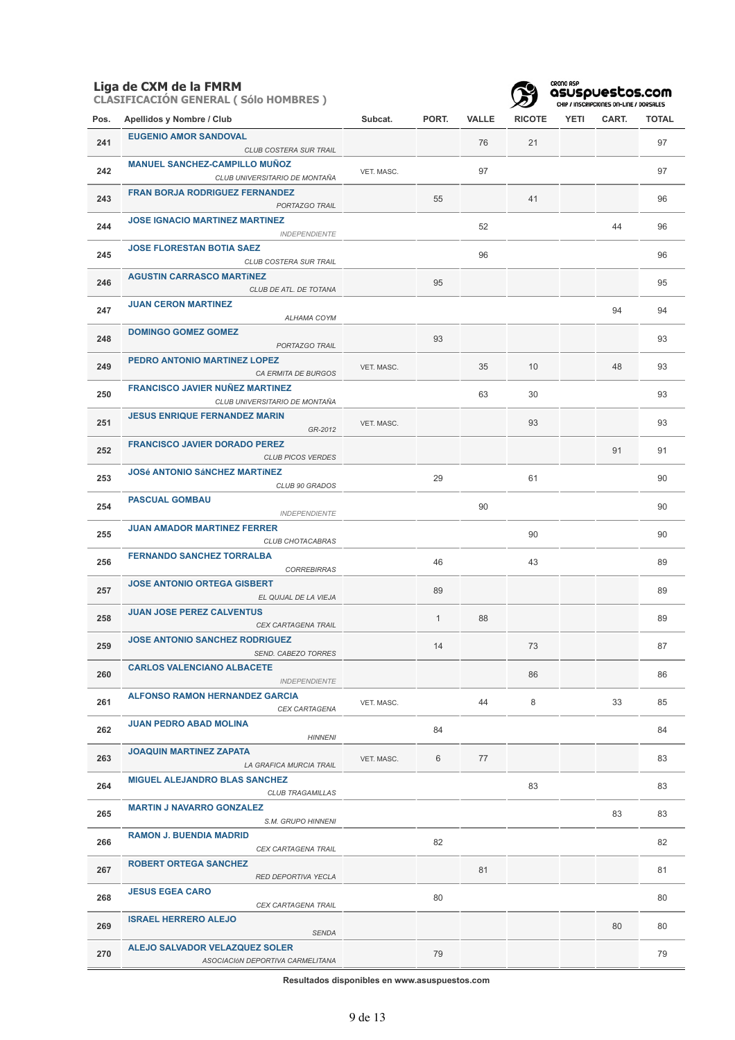**CLASIFICACIÓN GENERAL ( Sólo HOMBRES )**



CRONO ASP<br>**asuspuestos.com**<br>CHIP / INSCRIPCIONES ON-LINE / DORSALES

| Pos. | Apellidos y Nombre / Club                                                                       | Subcat.    | PORT.        | VALLE | <b>RICOTE</b> | YETI | CART. | TOTAL |
|------|-------------------------------------------------------------------------------------------------|------------|--------------|-------|---------------|------|-------|-------|
| 241  | <b>EUGENIO AMOR SANDOVAL</b>                                                                    |            |              | 76    | 21            |      |       | 97    |
| 242  | CLUB COSTERA SUR TRAIL<br><b>MANUEL SANCHEZ-CAMPILLO MUÑOZ</b><br>CLUB UNIVERSITARIO DE MONTAÑA | VET. MASC. |              | 97    |               |      |       | 97    |
| 243  | <b>FRAN BORJA RODRIGUEZ FERNANDEZ</b><br>PORTAZGO TRAIL                                         |            | 55           |       | 41            |      |       | 96    |
| 244  | <b>JOSE IGNACIO MARTINEZ MARTINEZ</b><br><b>INDEPENDIENTE</b>                                   |            |              | 52    |               |      | 44    | 96    |
| 245  | <b>JOSE FLORESTAN BOTIA SAEZ</b><br>CLUB COSTERA SUR TRAIL                                      |            |              | 96    |               |      |       | 96    |
| 246  | <b>AGUSTIN CARRASCO MARTÍNEZ</b><br>CLUB DE ATL. DE TOTANA                                      |            | 95           |       |               |      |       | 95    |
| 247  | <b>JUAN CERON MARTINEZ</b><br>ALHAMA COYM                                                       |            |              |       |               |      | 94    | 94    |
| 248  | <b>DOMINGO GOMEZ GOMEZ</b><br>PORTAZGO TRAIL                                                    |            | 93           |       |               |      |       | 93    |
| 249  | PEDRO ANTONIO MARTINEZ LOPEZ<br>CA ERMITA DE BURGOS                                             | VET. MASC. |              | 35    | 10            |      | 48    | 93    |
| 250  | <b>FRANCISCO JAVIER NUÑEZ MARTINEZ</b><br>CLUB UNIVERSITARIO DE MONTAÑA                         |            |              | 63    | 30            |      |       | 93    |
| 251  | <b>JESUS ENRIQUE FERNANDEZ MARIN</b><br>GR-2012                                                 | VET. MASC. |              |       | 93            |      |       | 93    |
| 252  | <b>FRANCISCO JAVIER DORADO PEREZ</b><br><b>CLUB PICOS VERDES</b>                                |            |              |       |               |      | 91    | 91    |
| 253  | <b>JOSé ANTONIO SáNCHEZ MARTÍNEZ</b><br>CLUB 90 GRADOS                                          |            | 29           |       | 61            |      |       | 90    |
| 254  | <b>PASCUAL GOMBAU</b><br><b>INDEPENDIENTE</b>                                                   |            |              | 90    |               |      |       | 90    |
| 255  | <b>JUAN AMADOR MARTINEZ FERRER</b><br>CLUB CHOTACABRAS                                          |            |              |       | 90            |      |       | 90    |
| 256  | <b>FERNANDO SANCHEZ TORRALBA</b><br><b>CORREBIRRAS</b>                                          |            | 46           |       | 43            |      |       | 89    |
| 257  | <b>JOSE ANTONIO ORTEGA GISBERT</b><br>EL QUIJAL DE LA VIEJA                                     |            | 89           |       |               |      |       | 89    |
| 258  | <b>JUAN JOSE PEREZ CALVENTUS</b><br>CEX CARTAGENA TRAIL                                         |            | $\mathbf{1}$ | 88    |               |      |       | 89    |
| 259  | <b>JOSE ANTONIO SANCHEZ RODRIGUEZ</b><br>SEND. CABEZO TORRES                                    |            | 14           |       | 73            |      |       | 87    |
| 260  | <b>CARLOS VALENCIANO ALBACETE</b><br><b>INDEPENDIENTE</b>                                       |            |              |       | 86            |      |       | 86    |
| 261  | <b>ALFONSO RAMON HERNANDEZ GARCIA</b><br>CEX CARTAGENA                                          | VET. MASC. |              | 44    | 8             |      | 33    | 85    |
| 262  | <b>JUAN PEDRO ABAD MOLINA</b><br><b>HINNENI</b>                                                 |            | 84           |       |               |      |       | 84    |
| 263  | <b>JOAQUIN MARTINEZ ZAPATA</b><br>LA GRAFICA MURCIA TRAIL                                       | VET. MASC. | 6            | 77    |               |      |       | 83    |
| 264  | <b>MIGUEL ALEJANDRO BLAS SANCHEZ</b><br><b>CLUB TRAGAMILLAS</b>                                 |            |              |       | 83            |      |       | 83    |
| 265  | <b>MARTIN J NAVARRO GONZALEZ</b><br>S.M. GRUPO HINNENI                                          |            |              |       |               |      | 83    | 83    |
| 266  | <b>RAMON J. BUENDIA MADRID</b><br>CEX CARTAGENA TRAIL                                           |            | 82           |       |               |      |       | 82    |
| 267  | <b>ROBERT ORTEGA SANCHEZ</b><br>RED DEPORTIVA YECLA                                             |            |              | 81    |               |      |       | 81    |
| 268  | <b>JESUS EGEA CARO</b><br>CEX CARTAGENA TRAIL                                                   |            | 80           |       |               |      |       | 80    |
| 269  | <b>ISRAEL HERRERO ALEJO</b><br><b>SENDA</b>                                                     |            |              |       |               |      | 80    | 80    |
| 270  | ALEJO SALVADOR VELAZQUEZ SOLER<br>ASOCIACIÓN DEPORTIVA CARMELITANA                              |            | 79           |       |               |      |       | 79    |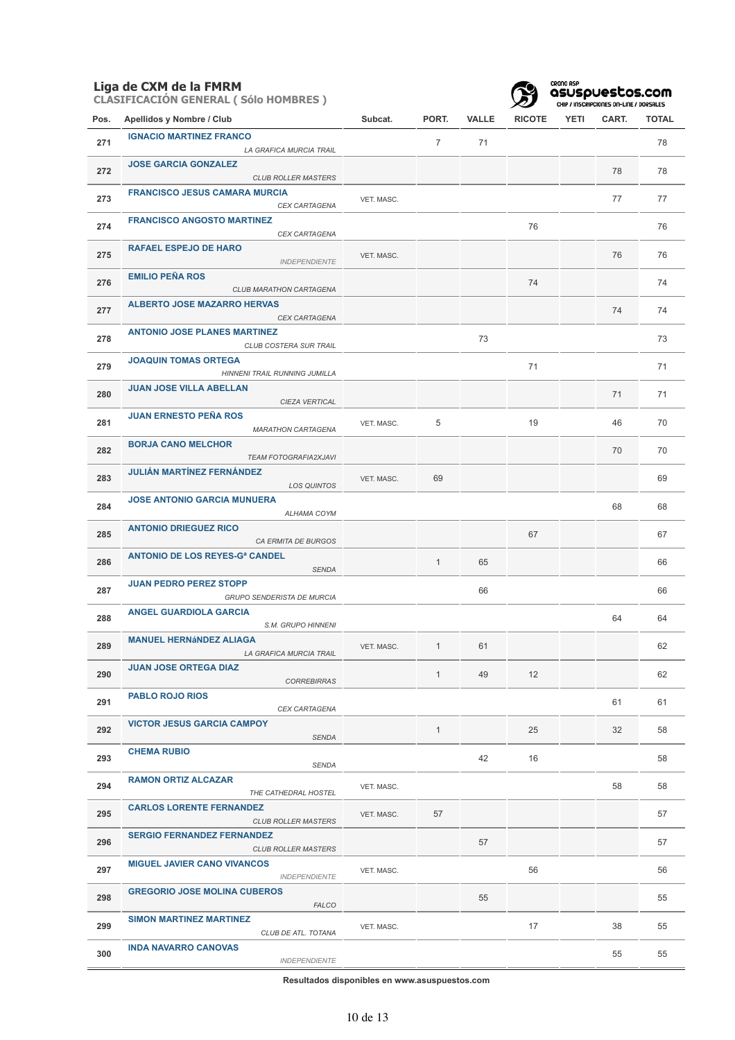**CLASIFICACIÓN GENERAL ( Sólo HOMBRES )**



CRONO ASP<br>**asuspuestos.com**<br>CHIP / INSCRIPCIONES ON-LINE / DORSALES

| Pos. | Apellidos y Nombre / Club                                        | Subcat.    | PORT.          | <b>VALLE</b> | <b>RICOTE</b> | YETI | CART. | <b>TOTAL</b> |
|------|------------------------------------------------------------------|------------|----------------|--------------|---------------|------|-------|--------------|
| 271  | <b>IGNACIO MARTINEZ FRANCO</b><br>LA GRAFICA MURCIA TRAIL        |            | $\overline{7}$ | 71           |               |      |       | 78           |
| 272  | <b>JOSE GARCIA GONZALEZ</b><br><b>CLUB ROLLER MASTERS</b>        |            |                |              |               |      | 78    | 78           |
| 273  | <b>FRANCISCO JESUS CAMARA MURCIA</b><br>CEX CARTAGENA            | VET. MASC. |                |              |               |      | 77    | 77           |
| 274  | <b>FRANCISCO ANGOSTO MARTINEZ</b><br>CEX CARTAGENA               |            |                |              | 76            |      |       | 76           |
| 275  | <b>RAFAEL ESPEJO DE HARO</b><br><b>INDEPENDIENTE</b>             | VET. MASC. |                |              |               |      | 76    | 76           |
| 276  | <b>EMILIO PEÑA ROS</b><br>CLUB MARATHON CARTAGENA                |            |                |              | 74            |      |       | 74           |
| 277  | <b>ALBERTO JOSE MAZARRO HERVAS</b><br>CEX CARTAGENA              |            |                |              |               |      | 74    | 74           |
| 278  | <b>ANTONIO JOSE PLANES MARTINEZ</b><br>CLUB COSTERA SUR TRAIL    |            |                | 73           |               |      |       | 73           |
| 279  | <b>JOAQUIN TOMAS ORTEGA</b><br>HINNENI TRAIL RUNNING JUMILLA     |            |                |              | 71            |      |       | 71           |
| 280  | <b>JUAN JOSE VILLA ABELLAN</b><br>CIEZA VERTICAL                 |            |                |              |               |      | 71    | 71           |
| 281  | <b>JUAN ERNESTO PEÑA ROS</b><br><b>MARATHON CARTAGENA</b>        | VET. MASC. | 5              |              | 19            |      | 46    | 70           |
| 282  | <b>BORJA CANO MELCHOR</b><br>TEAM FOTOGRAFIA2XJAVI               |            |                |              |               |      | 70    | 70           |
| 283  | <b>JULIÁN MARTÍNEZ FERNÁNDEZ</b><br><b>LOS QUINTOS</b>           | VET. MASC. | 69             |              |               |      |       | 69           |
| 284  | <b>JOSE ANTONIO GARCIA MUNUERA</b><br>ALHAMA COYM                |            |                |              |               |      | 68    | 68           |
| 285  | <b>ANTONIO DRIEGUEZ RICO</b><br>CA ERMITA DE BURGOS              |            |                |              | 67            |      |       | 67           |
| 286  | <b>ANTONIO DE LOS REYES-G<sup>a</sup> CANDEL</b><br><b>SENDA</b> |            | $\mathbf{1}$   | 65           |               |      |       | 66           |
| 287  | <b>JUAN PEDRO PEREZ STOPP</b><br>GRUPO SENDERISTA DE MURCIA      |            |                | 66           |               |      |       | 66           |
| 288  | <b>ANGEL GUARDIOLA GARCIA</b><br>S.M. GRUPO HINNENI              |            |                |              |               |      | 64    | 64           |
| 289  | <b>MANUEL HERNÁNDEZ ALIAGA</b><br>LA GRAFICA MURCIA TRAIL        | VET. MASC. | $\mathbf{1}$   | 61           |               |      |       | 62           |
| 290  | JUAN JOSE ORTEGA DIAZ<br><b>CORREBIRRAS</b>                      |            | $\mathbf{1}$   | 49           | 12            |      |       | 62           |
| 291  | <b>PABLO ROJO RIOS</b><br>CEX CARTAGENA                          |            |                |              |               |      | 61    | 61           |
| 292  | <b>VICTOR JESUS GARCIA CAMPOY</b><br><b>SENDA</b>                |            | $\mathbf{1}$   |              | 25            |      | 32    | 58           |
| 293  | <b>CHEMA RUBIO</b><br><b>SENDA</b>                               |            |                | 42           | 16            |      |       | 58           |
| 294  | <b>RAMON ORTIZ ALCAZAR</b><br>THE CATHEDRAL HOSTEL               | VET. MASC. |                |              |               |      | 58    | 58           |
| 295  | <b>CARLOS LORENTE FERNANDEZ</b><br><b>CLUB ROLLER MASTERS</b>    | VET. MASC. | 57             |              |               |      |       | 57           |
| 296  | <b>SERGIO FERNANDEZ FERNANDEZ</b><br><b>CLUB ROLLER MASTERS</b>  |            |                | 57           |               |      |       | 57           |
| 297  | <b>MIGUEL JAVIER CANO VIVANCOS</b><br><b>INDEPENDIENTE</b>       | VET. MASC. |                |              | 56            |      |       | 56           |
| 298  | <b>GREGORIO JOSE MOLINA CUBEROS</b><br><b>FALCO</b>              |            |                | 55           |               |      |       | 55           |
| 299  | <b>SIMON MARTINEZ MARTINEZ</b><br>CLUB DE ATL. TOTANA            | VET. MASC. |                |              | 17            |      | 38    | 55           |
| 300  | <b>INDA NAVARRO CANOVAS</b><br><b>INDEPENDIENTE</b>              |            |                |              |               |      | 55    | 55           |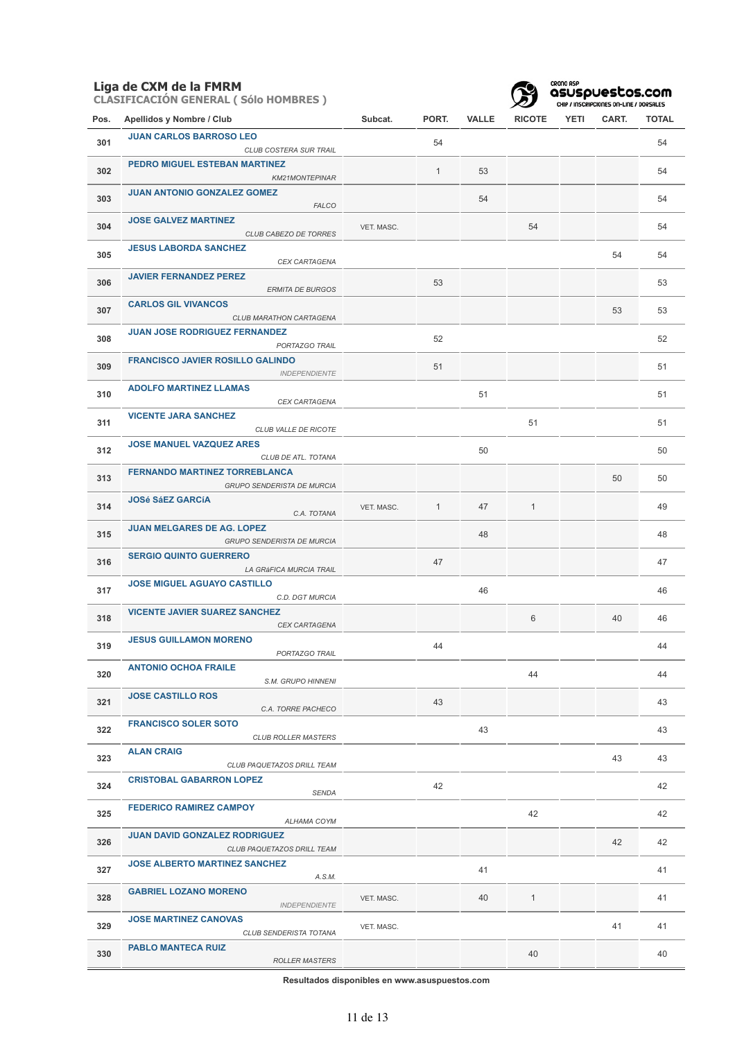**CLASIFICACIÓN GENERAL ( Sólo HOMBRES )**



CRONO ASP<br>**asuspuestos.com**<br>CHIP / INSCRIPCIONES ON-LINE / DORSALES

| Pos. | Apellidos y Nombre / Club                                              | Subcat.    | PORT.        | <b>VALLE</b> | <b>RICOTE</b> | <b>YETI</b> | CART. | TOTAL |
|------|------------------------------------------------------------------------|------------|--------------|--------------|---------------|-------------|-------|-------|
| 301  | <b>JUAN CARLOS BARROSO LEO</b><br>CLUB COSTERA SUR TRAIL               |            | 54           |              |               |             |       | 54    |
| 302  | PEDRO MIGUEL ESTEBAN MARTINEZ<br>KM21MONTEPINAR                        |            | $\mathbf{1}$ | 53           |               |             |       | 54    |
| 303  | <b>JUAN ANTONIO GONZALEZ GOMEZ</b><br><b>FALCO</b>                     |            |              | 54           |               |             |       | 54    |
| 304  | <b>JOSE GALVEZ MARTINEZ</b><br><b>CLUB CABEZO DE TORRES</b>            | VET. MASC. |              |              | 54            |             |       | 54    |
| 305  | <b>JESUS LABORDA SANCHEZ</b><br><b>CEX CARTAGENA</b>                   |            |              |              |               |             | 54    | 54    |
| 306  | <b>JAVIER FERNANDEZ PEREZ</b><br><b>ERMITA DE BURGOS</b>               |            | 53           |              |               |             |       | 53    |
| 307  | <b>CARLOS GIL VIVANCOS</b><br>CLUB MARATHON CARTAGENA                  |            |              |              |               |             | 53    | 53    |
| 308  | <b>JUAN JOSE RODRIGUEZ FERNANDEZ</b><br>PORTAZGO TRAIL                 |            | 52           |              |               |             |       | 52    |
| 309  | <b>FRANCISCO JAVIER ROSILLO GALINDO</b><br><b>INDEPENDIENTE</b>        |            | 51           |              |               |             |       | 51    |
| 310  | <b>ADOLFO MARTINEZ LLAMAS</b><br>CEX CARTAGENA                         |            |              | 51           |               |             |       | 51    |
| 311  | <b>VICENTE JARA SANCHEZ</b><br>CLUB VALLE DE RICOTE                    |            |              |              | 51            |             |       | 51    |
| 312  | <b>JOSE MANUEL VAZQUEZ ARES</b><br>CLUB DE ATL. TOTANA                 |            |              | 50           |               |             |       | 50    |
| 313  | <b>FERNANDO MARTINEZ TORREBLANCA</b><br>GRUPO SENDERISTA DE MURCIA     |            |              |              |               |             | 50    | 50    |
| 314  | <b>JOSé SáEZ GARCÍA</b><br>C.A. TOTANA                                 | VET. MASC. | $\mathbf{1}$ | 47           | $\mathbf{1}$  |             |       | 49    |
| 315  | <b>JUAN MELGARES DE AG. LOPEZ</b><br><b>GRUPO SENDERISTA DE MURCIA</b> |            |              | 48           |               |             |       | 48    |
| 316  | <b>SERGIO QUINTO GUERRERO</b><br>LA GRÁFICA MURCIA TRAIL               |            | 47           |              |               |             |       | 47    |
| 317  | <b>JOSE MIGUEL AGUAYO CASTILLO</b><br>C.D. DGT MURCIA                  |            |              | 46           |               |             |       | 46    |
| 318  | <b>VICENTE JAVIER SUAREZ SANCHEZ</b><br><b>CEX CARTAGENA</b>           |            |              |              | 6             |             | 40    | 46    |
| 319  | <b>JESUS GUILLAMON MORENO</b><br>PORTAZGO TRAIL                        |            | 44           |              |               |             |       | 44    |
| 320  | <b>ANTONIO OCHOA FRAILE</b><br>S.M. GRUPO HINNENI                      |            |              |              | 44            |             |       | 44    |
| 321  | <b>JOSE CASTILLO ROS</b><br>C.A. TORRE PACHECO                         |            | 43           |              |               |             |       | 43    |
| 322  | <b>FRANCISCO SOLER SOTO</b><br><b>CLUB ROLLER MASTERS</b>              |            |              | 43           |               |             |       | 43    |
| 323  | <b>ALAN CRAIG</b><br>CLUB PAQUETAZOS DRILL TEAM                        |            |              |              |               |             | 43    | 43    |
| 324  | <b>CRISTOBAL GABARRON LOPEZ</b><br><b>SENDA</b>                        |            | 42           |              |               |             |       | 42    |
| 325  | <b>FEDERICO RAMIREZ CAMPOY</b><br>ALHAMA COYM                          |            |              |              | 42            |             |       | 42    |
| 326  | <b>JUAN DAVID GONZALEZ RODRIGUEZ</b><br>CLUB PAQUETAZOS DRILL TEAM     |            |              |              |               |             | 42    | 42    |
| 327  | <b>JOSE ALBERTO MARTINEZ SANCHEZ</b><br>A.S.M.                         |            |              | 41           |               |             |       | 41    |
| 328  | <b>GABRIEL LOZANO MORENO</b><br><b>INDEPENDIENTE</b>                   | VET. MASC. |              | 40           | $\mathbf{1}$  |             |       | 41    |
| 329  | <b>JOSE MARTINEZ CANOVAS</b><br>CLUB SENDERISTA TOTANA                 | VET. MASC. |              |              |               |             | 41    | 41    |
| 330  | <b>PABLO MANTECA RUIZ</b><br>ROLLER MASTERS                            |            |              |              | 40            |             |       | 40    |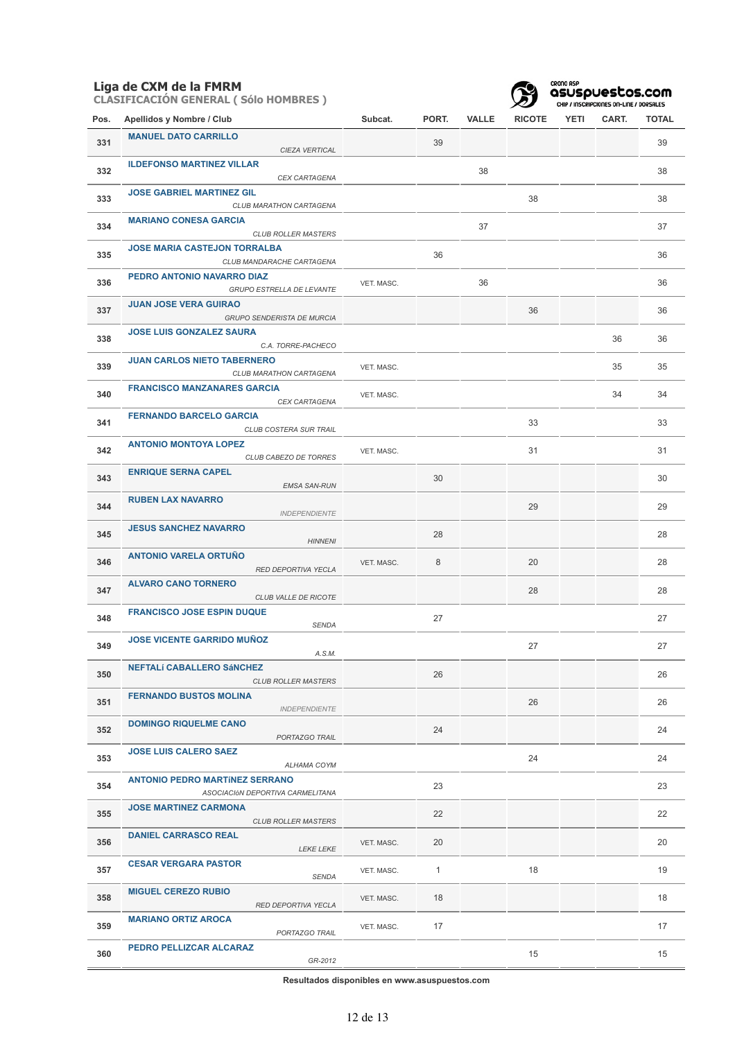**CLASIFICACIÓN GENERAL ( Sólo HOMBRES )**



CRONO ASP<br>**asuspuestos.com**<br>CHIP / INSCRIPCIONES ON-LINE / DORSALES

| Pos. | Apellidos y Nombre / Club                                                 | Subcat.    | PORT.        | VALLE | <b>RICOTE</b> | YETI | CART. | <b>TOTAL</b> |
|------|---------------------------------------------------------------------------|------------|--------------|-------|---------------|------|-------|--------------|
| 331  | <b>MANUEL DATO CARRILLO</b><br>CIEZA VERTICAL                             |            | 39           |       |               |      |       | 39           |
| 332  | <b>ILDEFONSO MARTINEZ VILLAR</b><br>CEX CARTAGENA                         |            |              | 38    |               |      |       | 38           |
| 333  | <b>JOSE GABRIEL MARTINEZ GIL</b><br>CLUB MARATHON CARTAGENA               |            |              |       | 38            |      |       | 38           |
| 334  | <b>MARIANO CONESA GARCIA</b><br><b>CLUB ROLLER MASTERS</b>                |            |              | 37    |               |      |       | 37           |
| 335  | <b>JOSE MARIA CASTEJON TORRALBA</b><br>CLUB MANDARACHE CARTAGENA          |            | 36           |       |               |      |       | 36           |
| 336  | PEDRO ANTONIO NAVARRO DIAZ<br><b>GRUPO ESTRELLA DE LEVANTE</b>            | VET. MASC. |              | 36    |               |      |       | 36           |
| 337  | <b>JUAN JOSE VERA GUIRAO</b><br>GRUPO SENDERISTA DE MURCIA                |            |              |       | 36            |      |       | 36           |
| 338  | <b>JOSE LUIS GONZALEZ SAURA</b><br>C.A. TORRE-PACHECO                     |            |              |       |               |      | 36    | 36           |
| 339  | <b>JUAN CARLOS NIETO TABERNERO</b><br>CLUB MARATHON CARTAGENA             | VET. MASC. |              |       |               |      | 35    | 35           |
| 340  | <b>FRANCISCO MANZANARES GARCIA</b><br>CEX CARTAGENA                       | VET. MASC. |              |       |               |      | 34    | 34           |
| 341  | <b>FERNANDO BARCELO GARCIA</b><br>CLUB COSTERA SUR TRAIL                  |            |              |       | 33            |      |       | 33           |
| 342  | <b>ANTONIO MONTOYA LOPEZ</b><br>CLUB CABEZO DE TORRES                     | VET. MASC. |              |       | 31            |      |       | 31           |
| 343  | <b>ENRIQUE SERNA CAPEL</b><br><b>EMSA SAN-RUN</b>                         |            | 30           |       |               |      |       | 30           |
| 344  | <b>RUBEN LAX NAVARRO</b><br><b>INDEPENDIENTE</b>                          |            |              |       | 29            |      |       | 29           |
| 345  | <b>JESUS SANCHEZ NAVARRO</b><br><b>HINNENI</b>                            |            | 28           |       |               |      |       | 28           |
| 346  | <b>ANTONIO VARELA ORTUÑO</b><br>RED DEPORTIVA YECLA                       | VET. MASC. | 8            |       | 20            |      |       | 28           |
| 347  | <b>ALVARO CANO TORNERO</b><br>CLUB VALLE DE RICOTE                        |            |              |       | 28            |      |       | 28           |
| 348  | <b>FRANCISCO JOSE ESPIN DUQUE</b><br><b>SENDA</b>                         |            | 27           |       |               |      |       | 27           |
| 349  | <b>JOSE VICENTE GARRIDO MUÑOZ</b><br>A.S.M.                               |            |              |       | 27            |      |       | 27           |
| 350  | <b>NEFTALÍ CABALLERO SÁNCHEZ</b><br><b>CLUB ROLLER MASTERS</b>            |            | 26           |       |               |      |       | 26           |
| 351  | <b>FERNANDO BUSTOS MOLINA</b><br><b>INDEPENDIENTE</b>                     |            |              |       | 26            |      |       | 26           |
| 352  | <b>DOMINGO RIQUELME CANO</b><br>PORTAZGO TRAIL                            |            | 24           |       |               |      |       | 24           |
| 353  | <b>JOSE LUIS CALERO SAEZ</b><br>ALHAMA COYM                               |            |              |       | 24            |      |       | 24           |
| 354  | <b>ANTONIO PEDRO MARTÍNEZ SERRANO</b><br>ASOCIACIÓN DEPORTIVA CARMELITANA |            | 23           |       |               |      |       | 23           |
| 355  | <b>JOSE MARTINEZ CARMONA</b><br><b>CLUB ROLLER MASTERS</b>                |            | 22           |       |               |      |       | 22           |
| 356  | <b>DANIEL CARRASCO REAL</b><br><b>LEKE LEKE</b>                           | VET. MASC. | 20           |       |               |      |       | 20           |
| 357  | <b>CESAR VERGARA PASTOR</b><br>SENDA                                      | VET. MASC. | $\mathbf{1}$ |       | 18            |      |       | 19           |
| 358  | <b>MIGUEL CEREZO RUBIO</b><br>RED DEPORTIVA YECLA                         | VET. MASC. | 18           |       |               |      |       | 18           |
| 359  | <b>MARIANO ORTIZ AROCA</b><br>PORTAZGO TRAIL                              | VET. MASC. | 17           |       |               |      |       | 17           |
| 360  | PEDRO PELLIZCAR ALCARAZ<br>GR-2012                                        |            |              |       | 15            |      |       | 15           |